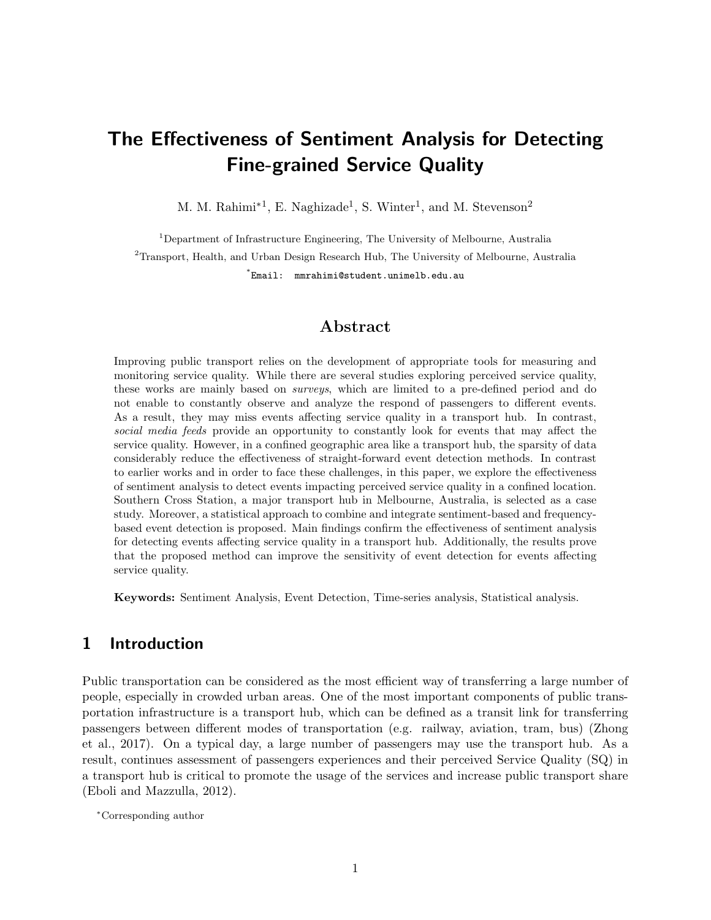# The Effectiveness of Sentiment Analysis for Detecting Fine-grained Service Quality

M. M. Rahimi<sup>\*1</sup>, E. Naghizade<sup>1</sup>, S. Winter<sup>1</sup>, and M. Stevenson<sup>2</sup>

<sup>1</sup>Department of Infrastructure Engineering, The University of Melbourne, Australia <sup>2</sup>Transport, Health, and Urban Design Research Hub, The University of Melbourne, Australia \* Email: mmrahimi@student.unimelb.edu.au

### Abstract

Improving public transport relies on the development of appropriate tools for measuring and monitoring service quality. While there are several studies exploring perceived service quality, these works are mainly based on surveys, which are limited to a pre-defined period and do not enable to constantly observe and analyze the respond of passengers to different events. As a result, they may miss events affecting service quality in a transport hub. In contrast, social media feeds provide an opportunity to constantly look for events that may affect the service quality. However, in a confined geographic area like a transport hub, the sparsity of data considerably reduce the effectiveness of straight-forward event detection methods. In contrast to earlier works and in order to face these challenges, in this paper, we explore the effectiveness of sentiment analysis to detect events impacting perceived service quality in a confined location. Southern Cross Station, a major transport hub in Melbourne, Australia, is selected as a case study. Moreover, a statistical approach to combine and integrate sentiment-based and frequencybased event detection is proposed. Main findings confirm the effectiveness of sentiment analysis for detecting events affecting service quality in a transport hub. Additionally, the results prove that the proposed method can improve the sensitivity of event detection for events affecting service quality.

Keywords: Sentiment Analysis, Event Detection, Time-series analysis, Statistical analysis.

### 1 Introduction

Public transportation can be considered as the most efficient way of transferring a large number of people, especially in crowded urban areas. One of the most important components of public transportation infrastructure is a transport hub, which can be defined as a transit link for transferring passengers between different modes of transportation (e.g. railway, aviation, tram, bus) [\(Zhong](#page-12-0) [et al., 2017\)](#page-12-0). On a typical day, a large number of passengers may use the transport hub. As a result, continues assessment of passengers experiences and their perceived Service Quality (SQ) in a transport hub is critical to promote the usage of the services and increase public transport share [\(Eboli and Mazzulla, 2012\)](#page-10-0).

<sup>∗</sup>Corresponding author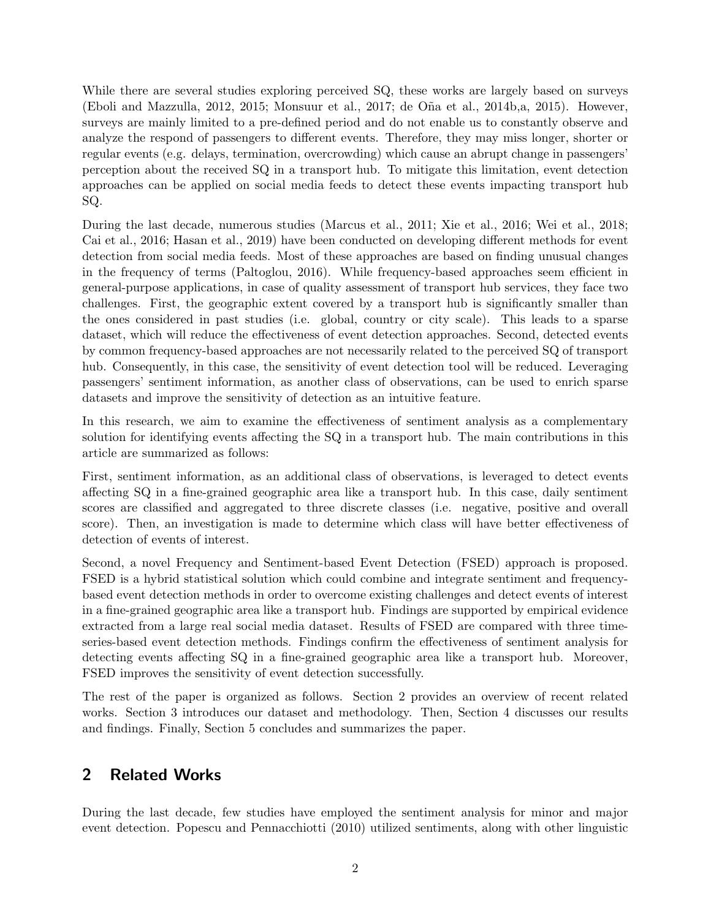While there are several studies exploring perceived SQ, these works are largely based on surveys [\(Eboli and Mazzulla, 2012,](#page-10-0) [2015;](#page-11-0) [Monsuur et al., 2017;](#page-11-1) [de O˜na et al., 2014b,](#page-10-1)[a,](#page-10-2) [2015\)](#page-10-3). However, surveys are mainly limited to a pre-defined period and do not enable us to constantly observe and analyze the respond of passengers to different events. Therefore, they may miss longer, shorter or regular events (e.g. delays, termination, overcrowding) which cause an abrupt change in passengers' perception about the received SQ in a transport hub. To mitigate this limitation, event detection approaches can be applied on social media feeds to detect these events impacting transport hub SQ.

During the last decade, numerous studies [\(Marcus et al., 2011;](#page-11-2) [Xie et al., 2016;](#page-12-1) [Wei et al., 2018;](#page-12-2) [Cai et al., 2016;](#page-10-4) [Hasan et al., 2019\)](#page-11-3) have been conducted on developing different methods for event detection from social media feeds. Most of these approaches are based on finding unusual changes in the frequency of terms [\(Paltoglou, 2016\)](#page-11-4). While frequency-based approaches seem efficient in general-purpose applications, in case of quality assessment of transport hub services, they face two challenges. First, the geographic extent covered by a transport hub is significantly smaller than the ones considered in past studies (i.e. global, country or city scale). This leads to a sparse dataset, which will reduce the effectiveness of event detection approaches. Second, detected events by common frequency-based approaches are not necessarily related to the perceived SQ of transport hub. Consequently, in this case, the sensitivity of event detection tool will be reduced. Leveraging passengers' sentiment information, as another class of observations, can be used to enrich sparse datasets and improve the sensitivity of detection as an intuitive feature.

In this research, we aim to examine the effectiveness of sentiment analysis as a complementary solution for identifying events affecting the SQ in a transport hub. The main contributions in this article are summarized as follows:

First, sentiment information, as an additional class of observations, is leveraged to detect events affecting SQ in a fine-grained geographic area like a transport hub. In this case, daily sentiment scores are classified and aggregated to three discrete classes (i.e. negative, positive and overall score). Then, an investigation is made to determine which class will have better effectiveness of detection of events of interest.

Second, a novel Frequency and Sentiment-based Event Detection (FSED) approach is proposed. FSED is a hybrid statistical solution which could combine and integrate sentiment and frequencybased event detection methods in order to overcome existing challenges and detect events of interest in a fine-grained geographic area like a transport hub. Findings are supported by empirical evidence extracted from a large real social media dataset. Results of FSED are compared with three timeseries-based event detection methods. Findings confirm the effectiveness of sentiment analysis for detecting events affecting SQ in a fine-grained geographic area like a transport hub. Moreover, FSED improves the sensitivity of event detection successfully.

The rest of the paper is organized as follows. Section 2 provides an overview of recent related works. Section 3 introduces our dataset and methodology. Then, Section 4 discusses our results and findings. Finally, Section 5 concludes and summarizes the paper.

# 2 Related Works

During the last decade, few studies have employed the sentiment analysis for minor and major event detection. [Popescu and Pennacchiotti](#page-11-5) [\(2010\)](#page-11-5) utilized sentiments, along with other linguistic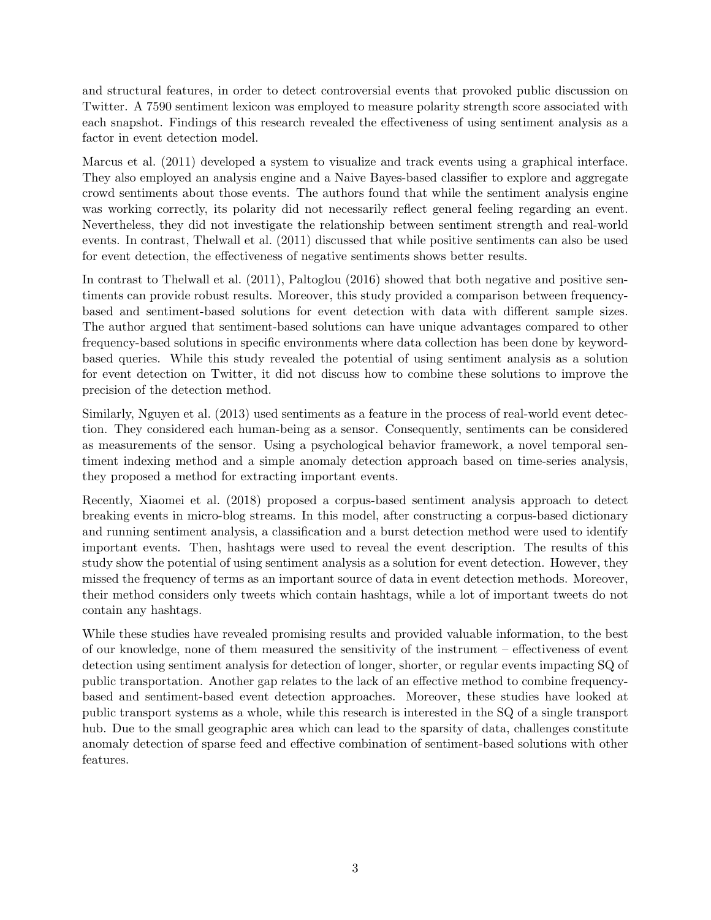and structural features, in order to detect controversial events that provoked public discussion on Twitter. A 7590 sentiment lexicon was employed to measure polarity strength score associated with each snapshot. Findings of this research revealed the effectiveness of using sentiment analysis as a factor in event detection model.

[Marcus et al.](#page-11-2) [\(2011\)](#page-11-2) developed a system to visualize and track events using a graphical interface. They also employed an analysis engine and a Naive Bayes-based classifier to explore and aggregate crowd sentiments about those events. The authors found that while the sentiment analysis engine was working correctly, its polarity did not necessarily reflect general feeling regarding an event. Nevertheless, they did not investigate the relationship between sentiment strength and real-world events. In contrast, [Thelwall et al.](#page-11-6) [\(2011\)](#page-11-6) discussed that while positive sentiments can also be used for event detection, the effectiveness of negative sentiments shows better results.

In contrast to [Thelwall et al.](#page-11-6) [\(2011\)](#page-11-6), [Paltoglou](#page-11-4) [\(2016\)](#page-11-4) showed that both negative and positive sentiments can provide robust results. Moreover, this study provided a comparison between frequencybased and sentiment-based solutions for event detection with data with different sample sizes. The author argued that sentiment-based solutions can have unique advantages compared to other frequency-based solutions in specific environments where data collection has been done by keywordbased queries. While this study revealed the potential of using sentiment analysis as a solution for event detection on Twitter, it did not discuss how to combine these solutions to improve the precision of the detection method.

Similarly, [Nguyen et al.](#page-11-7) [\(2013\)](#page-11-7) used sentiments as a feature in the process of real-world event detection. They considered each human-being as a sensor. Consequently, sentiments can be considered as measurements of the sensor. Using a psychological behavior framework, a novel temporal sentiment indexing method and a simple anomaly detection approach based on time-series analysis, they proposed a method for extracting important events.

Recently, [Xiaomei et al.](#page-12-3) [\(2018\)](#page-12-3) proposed a corpus-based sentiment analysis approach to detect breaking events in micro-blog streams. In this model, after constructing a corpus-based dictionary and running sentiment analysis, a classification and a burst detection method were used to identify important events. Then, hashtags were used to reveal the event description. The results of this study show the potential of using sentiment analysis as a solution for event detection. However, they missed the frequency of terms as an important source of data in event detection methods. Moreover, their method considers only tweets which contain hashtags, while a lot of important tweets do not contain any hashtags.

While these studies have revealed promising results and provided valuable information, to the best of our knowledge, none of them measured the sensitivity of the instrument – effectiveness of event detection using sentiment analysis for detection of longer, shorter, or regular events impacting SQ of public transportation. Another gap relates to the lack of an effective method to combine frequencybased and sentiment-based event detection approaches. Moreover, these studies have looked at public transport systems as a whole, while this research is interested in the SQ of a single transport hub. Due to the small geographic area which can lead to the sparsity of data, challenges constitute anomaly detection of sparse feed and effective combination of sentiment-based solutions with other features.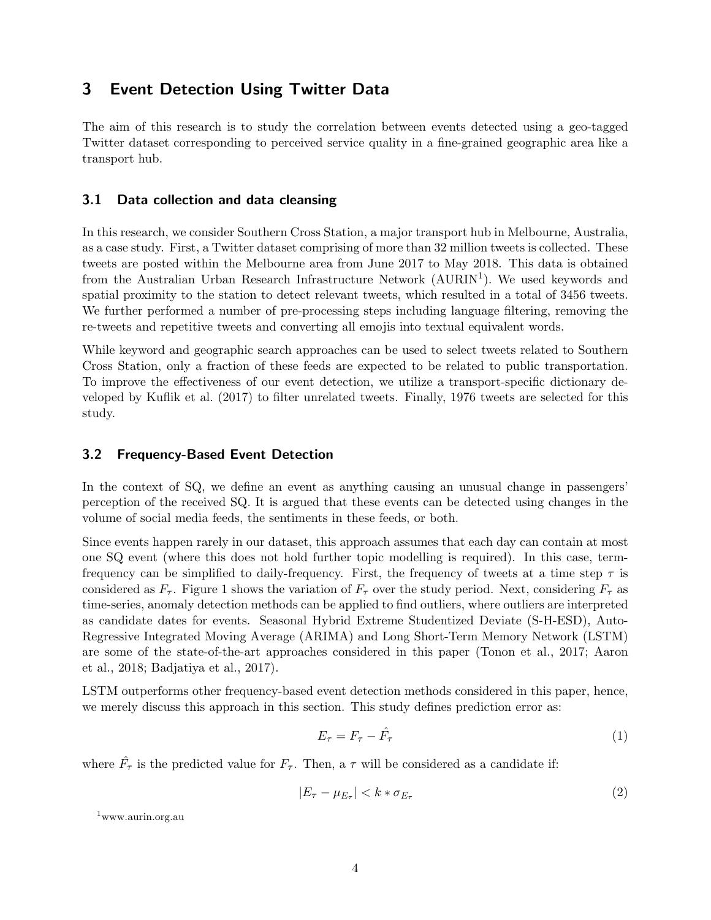# 3 Event Detection Using Twitter Data

The aim of this research is to study the correlation between events detected using a geo-tagged Twitter dataset corresponding to perceived service quality in a fine-grained geographic area like a transport hub.

#### 3.1 Data collection and data cleansing

In this research, we consider Southern Cross Station, a major transport hub in Melbourne, Australia, as a case study. First, a Twitter dataset comprising of more than 32 million tweets is collected. These tweets are posted within the Melbourne area from June 2017 to May 2018. This data is obtained from the Australian Urban Research Infrastructure Network (AURIN<sup>[1](#page-3-0)</sup>). We used keywords and spatial proximity to the station to detect relevant tweets, which resulted in a total of 3456 tweets. We further performed a number of pre-processing steps including language filtering, removing the re-tweets and repetitive tweets and converting all emojis into textual equivalent words.

While keyword and geographic search approaches can be used to select tweets related to Southern Cross Station, only a fraction of these feeds are expected to be related to public transportation. To improve the effectiveness of our event detection, we utilize a transport-specific dictionary developed by [Kuflik et al.](#page-11-8) [\(2017\)](#page-11-8) to filter unrelated tweets. Finally, 1976 tweets are selected for this study.

### 3.2 Frequency-Based Event Detection

In the context of SQ, we define an event as anything causing an unusual change in passengers' perception of the received SQ. It is argued that these events can be detected using changes in the volume of social media feeds, the sentiments in these feeds, or both.

Since events happen rarely in our dataset, this approach assumes that each day can contain at most one SQ event (where this does not hold further topic modelling is required). In this case, termfrequency can be simplified to daily-frequency. First, the frequency of tweets at a time step  $\tau$  is considered as  $F_{\tau}$ . Figure [1](#page-4-0) shows the variation of  $F_{\tau}$  over the study period. Next, considering  $F_{\tau}$  as time-series, anomaly detection methods can be applied to find outliers, where outliers are interpreted as candidate dates for events. Seasonal Hybrid Extreme Studentized Deviate (S-H-ESD), Auto-Regressive Integrated Moving Average (ARIMA) and Long Short-Term Memory Network (LSTM) are some of the state-of-the-art approaches considered in this paper [\(Tonon et al., 2017;](#page-12-4) [Aaron](#page-10-5) [et al., 2018;](#page-10-5) [Badjatiya et al., 2017\)](#page-10-6).

LSTM outperforms other frequency-based event detection methods considered in this paper, hence, we merely discuss this approach in this section. This study defines prediction error as:

$$
E_{\tau} = F_{\tau} - \hat{F}_{\tau} \tag{1}
$$

where  $\hat{F}_{\tau}$  is the predicted value for  $F_{\tau}$ . Then, a  $\tau$  will be considered as a candidate if:

$$
|E_{\tau} - \mu_{E_{\tau}}| < k * \sigma_{E_{\tau}} \tag{2}
$$

<span id="page-3-0"></span><sup>1</sup>www.aurin.org.au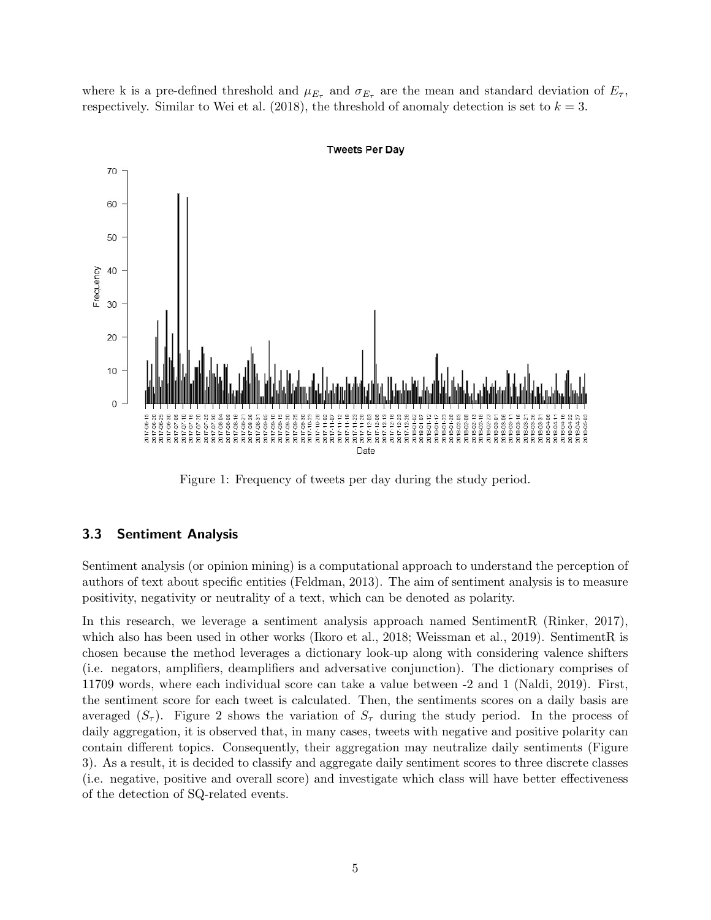where k is a pre-defined threshold and  $\mu_{E_{\tau}}$  and  $\sigma_{E_{\tau}}$  are the mean and standard deviation of  $E_{\tau}$ , respectively. Similar to [Wei et al.](#page-12-2) [\(2018\)](#page-12-2), the threshold of anomaly detection is set to  $k = 3$ .



**Tweets Per Dav** 

<span id="page-4-0"></span>Figure 1: Frequency of tweets per day during the study period.

#### 3.3 Sentiment Analysis

Sentiment analysis (or opinion mining) is a computational approach to understand the perception of authors of text about specific entities [\(Feldman, 2013\)](#page-11-9). The aim of sentiment analysis is to measure positivity, negativity or neutrality of a text, which can be denoted as polarity.

In this research, we leverage a sentiment analysis approach named SentimentR [\(Rinker, 2017\)](#page-11-10), which also has been used in other works [\(Ikoro et al., 2018;](#page-11-11) [Weissman et al., 2019\)](#page-12-5). SentimentR is chosen because the method leverages a dictionary look-up along with considering valence shifters (i.e. negators, amplifiers, deamplifiers and adversative conjunction). The dictionary comprises of 11709 words, where each individual score can take a value between -2 and 1 [\(Naldi, 2019\)](#page-11-12). First, the sentiment score for each tweet is calculated. Then, the sentiments scores on a daily basis are averaged  $(S_{\tau})$ . Figure [2](#page-5-0) shows the variation of  $S_{\tau}$  during the study period. In the process of daily aggregation, it is observed that, in many cases, tweets with negative and positive polarity can contain different topics. Consequently, their aggregation may neutralize daily sentiments (Figure [3\)](#page-5-1). As a result, it is decided to classify and aggregate daily sentiment scores to three discrete classes (i.e. negative, positive and overall score) and investigate which class will have better effectiveness of the detection of SQ-related events.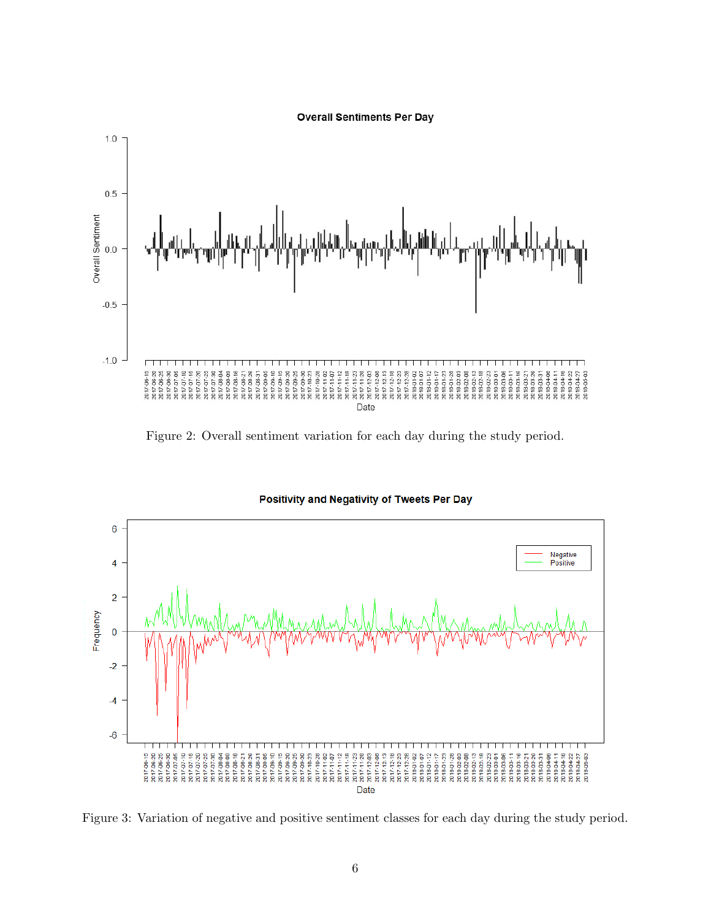

<span id="page-5-0"></span>Figure 2: Overall sentiment variation for each day during the study period.



### Positivity and Negativity of Tweets Per Day

<span id="page-5-1"></span>Figure 3: Variation of negative and positive sentiment classes for each day during the study period.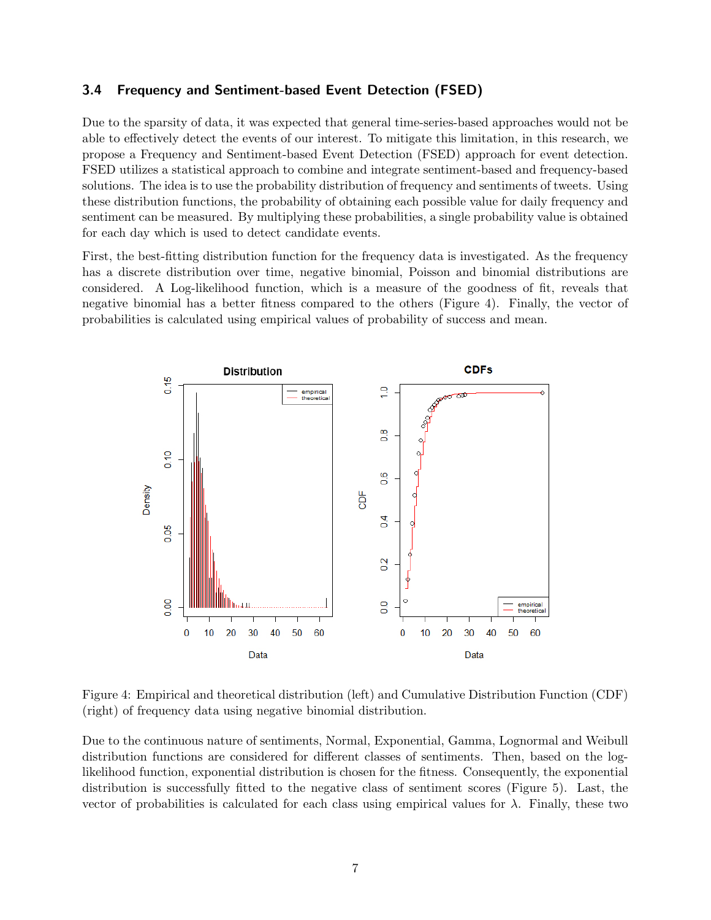#### 3.4 Frequency and Sentiment-based Event Detection (FSED)

Due to the sparsity of data, it was expected that general time-series-based approaches would not be able to effectively detect the events of our interest. To mitigate this limitation, in this research, we propose a Frequency and Sentiment-based Event Detection (FSED) approach for event detection. FSED utilizes a statistical approach to combine and integrate sentiment-based and frequency-based solutions. The idea is to use the probability distribution of frequency and sentiments of tweets. Using these distribution functions, the probability of obtaining each possible value for daily frequency and sentiment can be measured. By multiplying these probabilities, a single probability value is obtained for each day which is used to detect candidate events.

First, the best-fitting distribution function for the frequency data is investigated. As the frequency has a discrete distribution over time, negative binomial, Poisson and binomial distributions are considered. A Log-likelihood function, which is a measure of the goodness of fit, reveals that negative binomial has a better fitness compared to the others (Figure [4\)](#page-6-0). Finally, the vector of probabilities is calculated using empirical values of probability of success and mean.



<span id="page-6-0"></span>Figure 4: Empirical and theoretical distribution (left) and Cumulative Distribution Function (CDF) (right) of frequency data using negative binomial distribution.

Due to the continuous nature of sentiments, Normal, Exponential, Gamma, Lognormal and Weibull distribution functions are considered for different classes of sentiments. Then, based on the loglikelihood function, exponential distribution is chosen for the fitness. Consequently, the exponential distribution is successfully fitted to the negative class of sentiment scores (Figure [5\)](#page-7-0). Last, the vector of probabilities is calculated for each class using empirical values for  $\lambda$ . Finally, these two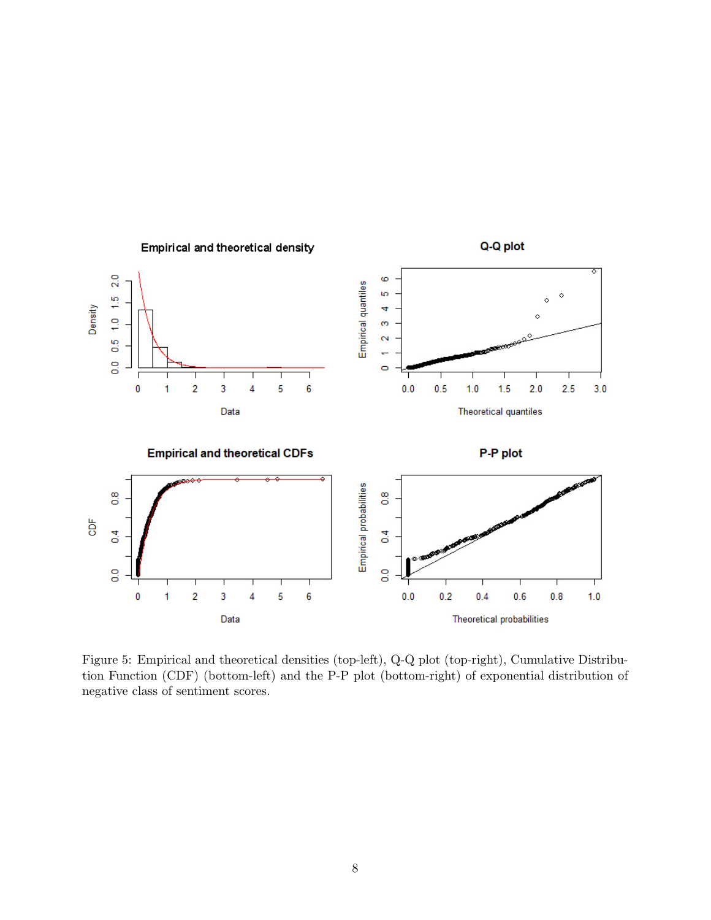

<span id="page-7-0"></span>Figure 5: Empirical and theoretical densities (top-left), Q-Q plot (top-right), Cumulative Distribution Function (CDF) (bottom-left) and the P-P plot (bottom-right) of exponential distribution of negative class of sentiment scores.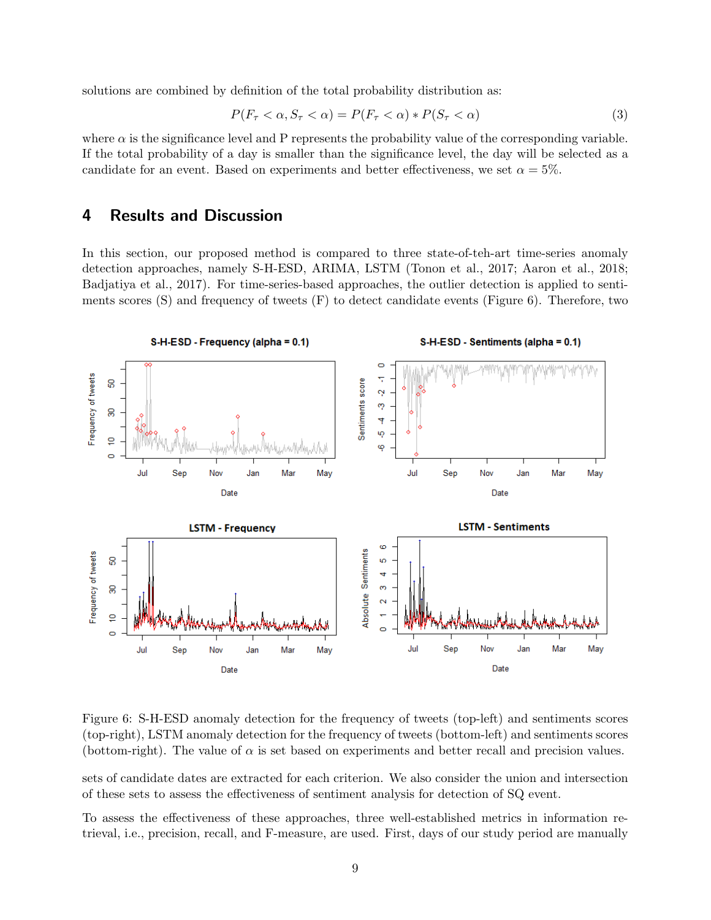solutions are combined by definition of the total probability distribution as:

$$
P(F_{\tau} < \alpha, S_{\tau} < \alpha) = P(F_{\tau} < \alpha) * P(S_{\tau} < \alpha)
$$
\n<sup>(3)</sup>

where  $\alpha$  is the significance level and P represents the probability value of the corresponding variable. If the total probability of a day is smaller than the significance level, the day will be selected as a candidate for an event. Based on experiments and better effectiveness, we set  $\alpha = 5\%$ .

### 4 Results and Discussion

In this section, our proposed method is compared to three state-of-teh-art time-series anomaly detection approaches, namely S-H-ESD, ARIMA, LSTM [\(Tonon et al., 2017;](#page-12-4) [Aaron et al., 2018;](#page-10-5) [Badjatiya et al., 2017\)](#page-10-6). For time-series-based approaches, the outlier detection is applied to sentiments scores  $(S)$  and frequency of tweets  $(F)$  to detect candidate events (Figure [6\)](#page-8-0). Therefore, two



<span id="page-8-0"></span>Figure 6: S-H-ESD anomaly detection for the frequency of tweets (top-left) and sentiments scores (top-right), LSTM anomaly detection for the frequency of tweets (bottom-left) and sentiments scores (bottom-right). The value of  $\alpha$  is set based on experiments and better recall and precision values.

sets of candidate dates are extracted for each criterion. We also consider the union and intersection of these sets to assess the effectiveness of sentiment analysis for detection of SQ event.

To assess the effectiveness of these approaches, three well-established metrics in information retrieval, i.e., precision, recall, and F-measure, are used. First, days of our study period are manually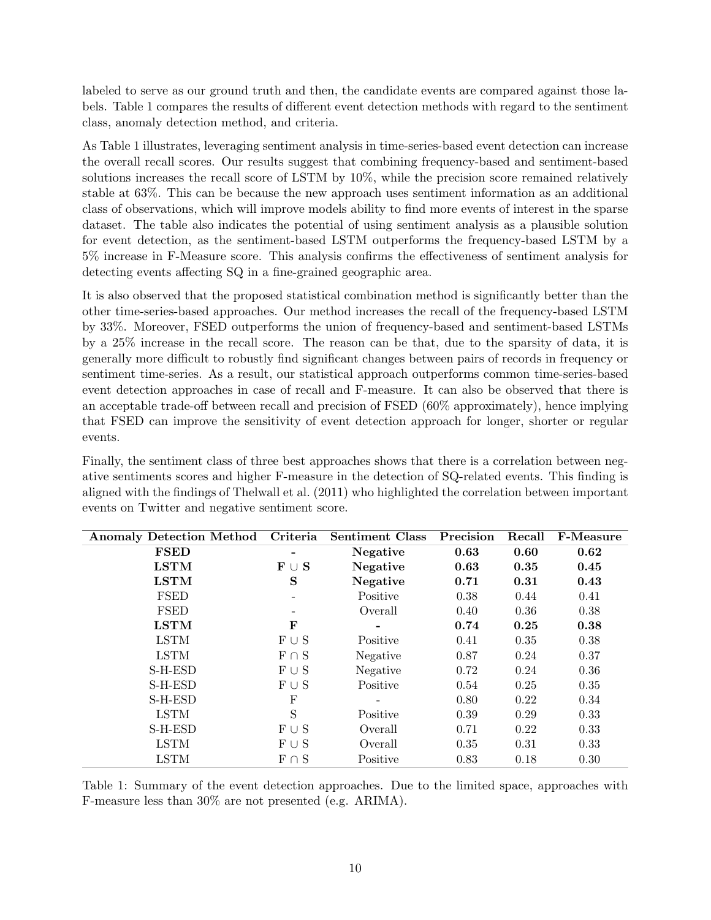labeled to serve as our ground truth and then, the candidate events are compared against those labels. Table [1](#page-9-0) compares the results of different event detection methods with regard to the sentiment class, anomaly detection method, and criteria.

As Table [1](#page-9-0) illustrates, leveraging sentiment analysis in time-series-based event detection can increase the overall recall scores. Our results suggest that combining frequency-based and sentiment-based solutions increases the recall score of LSTM by 10%, while the precision score remained relatively stable at 63%. This can be because the new approach uses sentiment information as an additional class of observations, which will improve models ability to find more events of interest in the sparse dataset. The table also indicates the potential of using sentiment analysis as a plausible solution for event detection, as the sentiment-based LSTM outperforms the frequency-based LSTM by a 5% increase in F-Measure score. This analysis confirms the effectiveness of sentiment analysis for detecting events affecting SQ in a fine-grained geographic area.

It is also observed that the proposed statistical combination method is significantly better than the other time-series-based approaches. Our method increases the recall of the frequency-based LSTM by 33%. Moreover, FSED outperforms the union of frequency-based and sentiment-based LSTMs by a 25% increase in the recall score. The reason can be that, due to the sparsity of data, it is generally more difficult to robustly find significant changes between pairs of records in frequency or sentiment time-series. As a result, our statistical approach outperforms common time-series-based event detection approaches in case of recall and F-measure. It can also be observed that there is an acceptable trade-off between recall and precision of FSED (60% approximately), hence implying that FSED can improve the sensitivity of event detection approach for longer, shorter or regular events.

Finally, the sentiment class of three best approaches shows that there is a correlation between negative sentiments scores and higher F-measure in the detection of SQ-related events. This finding is aligned with the findings of [Thelwall et al.](#page-11-6) [\(2011\)](#page-11-6) who highlighted the correlation between important events on Twitter and negative sentiment score.

| <b>Anomaly Detection Method</b> | Criteria                       | <b>Sentiment Class</b> | Precision | Recall | <b>F-Measure</b> |
|---------------------------------|--------------------------------|------------------------|-----------|--------|------------------|
| <b>FSED</b>                     |                                | Negative               | 0.63      | 0.60   | 0.62             |
| <b>LSTM</b>                     | $\mathbf{F} \cup \mathbf{S}$   | Negative               | 0.63      | 0.35   | 0.45             |
| <b>LSTM</b>                     | S                              | Negative               | 0.71      | 0.31   | 0.43             |
| <b>FSED</b>                     |                                | Positive               | 0.38      | 0.44   | 0.41             |
| <b>FSED</b>                     |                                | Overall                | 0.40      | 0.36   | 0.38             |
| <b>LSTM</b>                     | F                              |                        | 0.74      | 0.25   | 0.38             |
| <b>LSTM</b>                     | $\mathcal{F} \cup \mathcal{S}$ | Positive               | 0.41      | 0.35   | 0.38             |
| <b>LSTM</b>                     | $F \cap S$                     | Negative               | 0.87      | 0.24   | 0.37             |
| S-H-ESD                         | $F \cup S$                     | Negative               | 0.72      | 0.24   | 0.36             |
| S-H-ESD                         | $F \cup S$                     | Positive               | 0.54      | 0.25   | 0.35             |
| S-H-ESD                         | F                              | -                      | 0.80      | 0.22   | 0.34             |
| <b>LSTM</b>                     | S                              | Positive               | 0.39      | 0.29   | 0.33             |
| S-H-ESD                         | $\mathcal{F} \cup \mathcal{S}$ | Overall                | 0.71      | 0.22   | 0.33             |
| <b>LSTM</b>                     | $F \cup S$                     | Overall                | 0.35      | 0.31   | 0.33             |
| <b>LSTM</b>                     | $F \cap S$                     | Positive               | 0.83      | 0.18   | 0.30             |

<span id="page-9-0"></span>Table 1: Summary of the event detection approaches. Due to the limited space, approaches with F-measure less than 30% are not presented (e.g. ARIMA).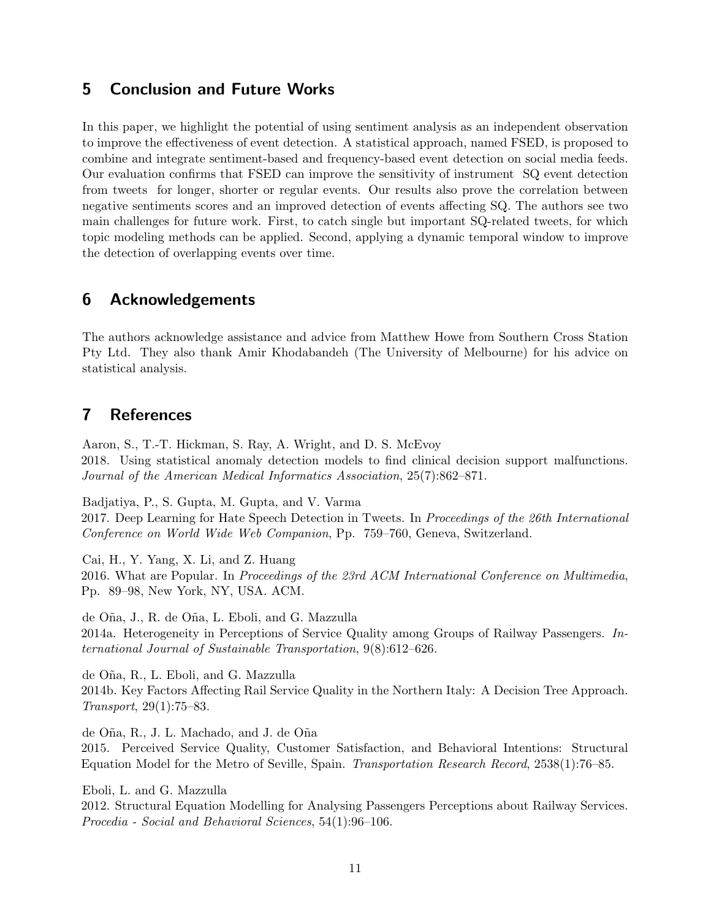# 5 Conclusion and Future Works

In this paper, we highlight the potential of using sentiment analysis as an independent observation to improve the effectiveness of event detection. A statistical approach, named FSED, is proposed to combine and integrate sentiment-based and frequency-based event detection on social media feeds. Our evaluation confirms that FSED can improve the sensitivity of instrument SQ event detection from tweets for longer, shorter or regular events. Our results also prove the correlation between negative sentiments scores and an improved detection of events affecting SQ. The authors see two main challenges for future work. First, to catch single but important SQ-related tweets, for which topic modeling methods can be applied. Second, applying a dynamic temporal window to improve the detection of overlapping events over time.

# 6 Acknowledgements

The authors acknowledge assistance and advice from Matthew Howe from Southern Cross Station Pty Ltd. They also thank Amir Khodabandeh (The University of Melbourne) for his advice on statistical analysis.

# 7 References

<span id="page-10-5"></span>Aaron, S., T.-T. Hickman, S. Ray, A. Wright, and D. S. McEvoy 2018. Using statistical anomaly detection models to find clinical decision support malfunctions. Journal of the American Medical Informatics Association, 25(7):862–871.

<span id="page-10-6"></span>Badjatiya, P., S. Gupta, M. Gupta, and V. Varma

2017. Deep Learning for Hate Speech Detection in Tweets. In Proceedings of the 26th International Conference on World Wide Web Companion, Pp. 759–760, Geneva, Switzerland.

<span id="page-10-4"></span>Cai, H., Y. Yang, X. Li, and Z. Huang 2016. What are Popular. In Proceedings of the 23rd ACM International Conference on Multimedia, Pp. 89–98, New York, NY, USA. ACM.

<span id="page-10-2"></span>de O˜na, J., R. de O˜na, L. Eboli, and G. Mazzulla 2014a. Heterogeneity in Perceptions of Service Quality among Groups of Railway Passengers. International Journal of Sustainable Transportation, 9(8):612–626.

<span id="page-10-1"></span>de O˜na, R., L. Eboli, and G. Mazzulla 2014b. Key Factors Affecting Rail Service Quality in the Northern Italy: A Decision Tree Approach. Transport, 29(1):75–83.

<span id="page-10-3"></span>de Oña, R., J. L. Machado, and J. de Oña

2015. Perceived Service Quality, Customer Satisfaction, and Behavioral Intentions: Structural Equation Model for the Metro of Seville, Spain. Transportation Research Record, 2538(1):76–85.

<span id="page-10-0"></span>Eboli, L. and G. Mazzulla 2012. Structural Equation Modelling for Analysing Passengers Perceptions about Railway Services. Procedia - Social and Behavioral Sciences, 54(1):96–106.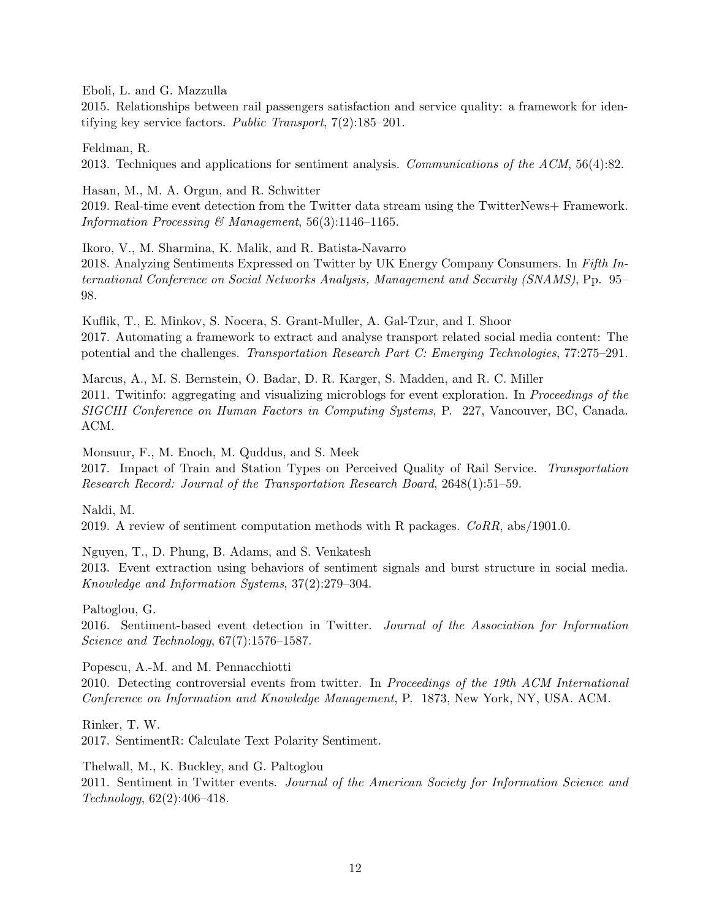<span id="page-11-0"></span>Eboli, L. and G. Mazzulla

2015. Relationships between rail passengers satisfaction and service quality: a framework for identifying key service factors. Public Transport, 7(2):185–201.

<span id="page-11-9"></span>Feldman, R. 2013. Techniques and applications for sentiment analysis. Communications of the ACM, 56(4):82.

<span id="page-11-3"></span>Hasan, M., M. A. Orgun, and R. Schwitter 2019. Real-time event detection from the Twitter data stream using the TwitterNews+ Framework. Information Processing & Management,  $56(3):1146-1165$ .

<span id="page-11-11"></span>Ikoro, V., M. Sharmina, K. Malik, and R. Batista-Navarro 2018. Analyzing Sentiments Expressed on Twitter by UK Energy Company Consumers. In Fifth International Conference on Social Networks Analysis, Management and Security (SNAMS), Pp. 95– 98.

<span id="page-11-8"></span>Kuflik, T., E. Minkov, S. Nocera, S. Grant-Muller, A. Gal-Tzur, and I. Shoor 2017. Automating a framework to extract and analyse transport related social media content: The potential and the challenges. Transportation Research Part C: Emerging Technologies, 77:275–291.

<span id="page-11-2"></span>Marcus, A., M. S. Bernstein, O. Badar, D. R. Karger, S. Madden, and R. C. Miller 2011. Twitinfo: aggregating and visualizing microblogs for event exploration. In *Proceedings of the* SIGCHI Conference on Human Factors in Computing Systems, P. 227, Vancouver, BC, Canada. ACM.

<span id="page-11-1"></span>Monsuur, F., M. Enoch, M. Quddus, and S. Meek 2017. Impact of Train and Station Types on Perceived Quality of Rail Service. Transportation Research Record: Journal of the Transportation Research Board, 2648(1):51–59.

<span id="page-11-12"></span>Naldi, M.

2019. A review of sentiment computation methods with R packages. CoRR, abs/1901.0.

<span id="page-11-7"></span>Nguyen, T., D. Phung, B. Adams, and S. Venkatesh

2013. Event extraction using behaviors of sentiment signals and burst structure in social media. Knowledge and Information Systems, 37(2):279–304.

<span id="page-11-4"></span>Paltoglou, G.

2016. Sentiment-based event detection in Twitter. Journal of the Association for Information Science and Technology, 67(7):1576–1587.

<span id="page-11-5"></span>Popescu, A.-M. and M. Pennacchiotti

2010. Detecting controversial events from twitter. In Proceedings of the 19th ACM International Conference on Information and Knowledge Management, P. 1873, New York, NY, USA. ACM.

<span id="page-11-10"></span>Rinker, T. W. 2017. SentimentR: Calculate Text Polarity Sentiment.

<span id="page-11-6"></span>Thelwall, M., K. Buckley, and G. Paltoglou 2011. Sentiment in Twitter events. Journal of the American Society for Information Science and Technology, 62(2):406–418.